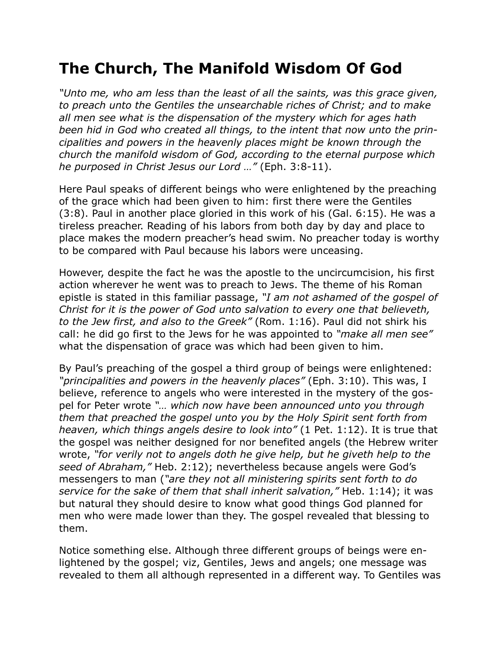## **The Church, The Manifold Wisdom Of God**

*"Unto me, who am less than the least of all the saints, was this grace given, to preach unto the Gentiles the unsearchable riches of Christ; and to make all men see what is the dispensation of the mystery which for ages hath been hid in God who created all things, to the intent that now unto the principalities and powers in the heavenly places might be known through the church the manifold wisdom of God, according to the eternal purpose which he purposed in Christ Jesus our Lord …"* (Eph. 3:8-11).

Here Paul speaks of different beings who were enlightened by the preaching of the grace which had been given to him: first there were the Gentiles (3:8). Paul in another place gloried in this work of his (Gal. 6:15). He was a tireless preacher. Reading of his labors from both day by day and place to place makes the modern preacher's head swim. No preacher today is worthy to be compared with Paul because his labors were unceasing.

However, despite the fact he was the apostle to the uncircumcision, his first action wherever he went was to preach to Jews. The theme of his Roman epistle is stated in this familiar passage, *"I am not ashamed of the gospel of Christ for it is the power of God unto salvation to every one that believeth, to the Jew first, and also to the Greek"* (Rom. 1:16). Paul did not shirk his call: he did go first to the Jews for he was appointed to *"make all men see"* what the dispensation of grace was which had been given to him.

By Paul's preaching of the gospel a third group of beings were enlightened: *"principalities and powers in the heavenly places"* (Eph. 3:10). This was, I believe, reference to angels who were interested in the mystery of the gospel for Peter wrote *"… which now have been announced unto you through them that preached the gospel unto you by the Holy Spirit sent forth from heaven, which things angels desire to look into"* (1 Pet. 1:12). It is true that the gospel was neither designed for nor benefited angels (the Hebrew writer wrote, *"for verily not to angels doth he give help, but he giveth help to the seed of Abraham,"* Heb. 2:12); nevertheless because angels were God's messengers to man (*"are they not all ministering spirits sent forth to do service for the sake of them that shall inherit salvation,"* Heb. 1:14); it was but natural they should desire to know what good things God planned for men who were made lower than they. The gospel revealed that blessing to them.

Notice something else. Although three different groups of beings were enlightened by the gospel; viz, Gentiles, Jews and angels; one message was revealed to them all although represented in a different way. To Gentiles was